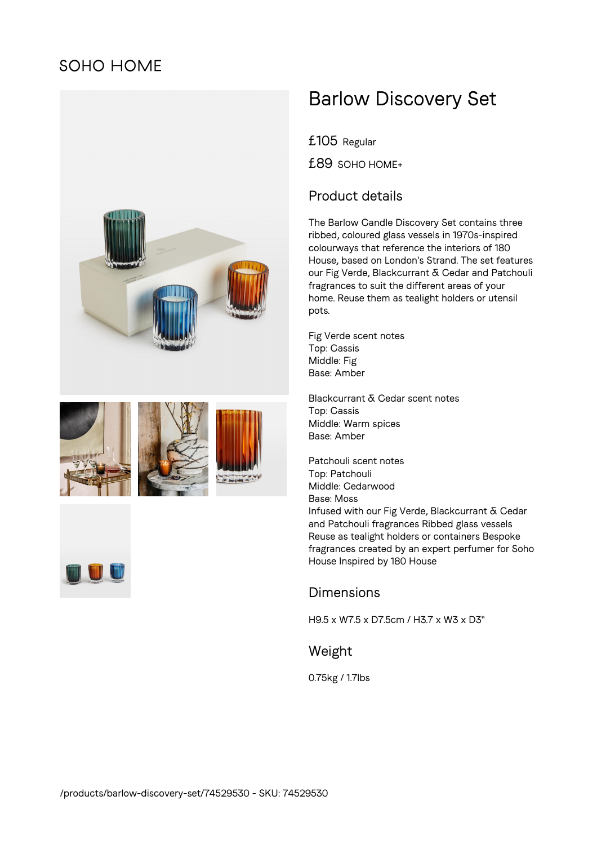## **SOHO HOME**











# Barlow Discovery Set

£105 Regular

£89 SOHO HOME+

### Product details

The Barlow Candle Discovery Set contains three ribbed, coloured glass vessels in 1970s-inspired colourways that reference the interiors of 180 House, based on London's Strand. The set features our Fig Verde, Blackcurrant & Cedar and Patchouli fragrances to suit the different areas of your home. Reuse them as tealight holders or utensil pots.

Fig Verde scent notes Top: Cassis Middle: Fig Base: Amber

Blackcurrant & Cedar scent notes Top: Cassis Middle: Warm spices Base: Amber

Patchouli scent notes Top: Patchouli Middle: Cedarwood Base: Moss Infused with our Fig Verde, Blackcurrant & Cedar and Patchouli fragrances Ribbed glass vessels Reuse as tealight holders or containers Bespoke fragrances created by an expert perfumer for Soho House Inspired by 180 House

#### Dimensions

H9.5 x W7.5 x D7.5cm / H3.7 x W3 x D3"

Weight

0.75kg / 1.7lbs